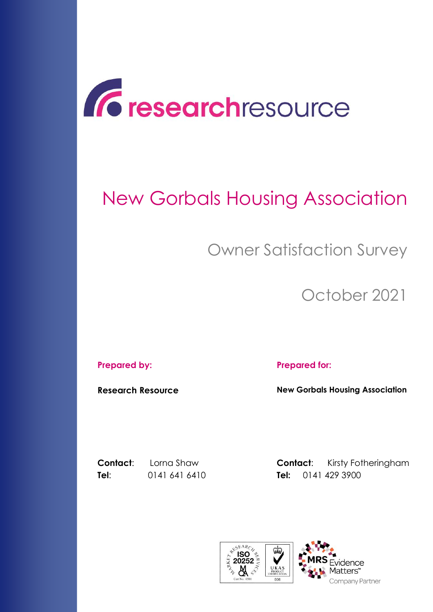

# New Gorbals Housing Association

## Owner Satisfaction Survey

October 2021

#### **Prepared by: Prepared for:**

**Research Resource New Gorbals Housing Association**

**Contact:** Lorna Shaw **Contact:** Kirsty Fotheringham **Tel**: 0141 641 6410 **Tel:** 0141 429 3900

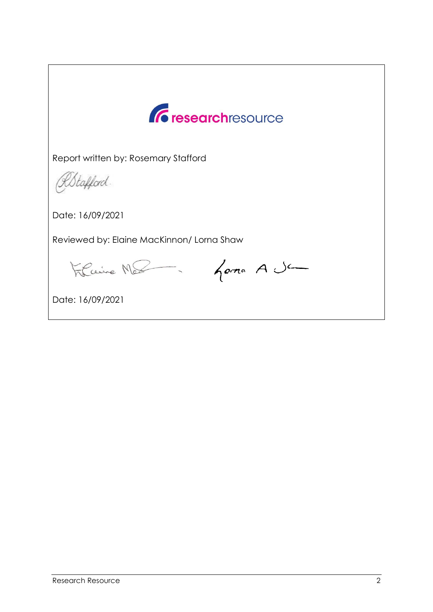

Report written by: Rosemary Stafford

RStafford.

Date: 16/09/2021

Reviewed by: Elaine MacKinnon/ Lorna Shaw

Filiaire Mes - Goma A Ja

Date: 16/09/2021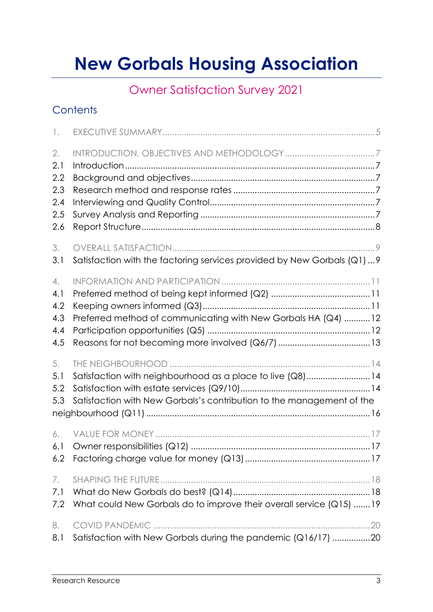## **New Gorbals Housing Association**

### Owner Satisfaction Survey 2021

### **Contents**

| $\mathbb{L}$                                 |                                                                                                                                    |  |
|----------------------------------------------|------------------------------------------------------------------------------------------------------------------------------------|--|
| 2.<br>2.1<br>2.2<br>2.3<br>2.4<br>2.5<br>2.6 |                                                                                                                                    |  |
| 3.<br>3.1                                    | Satisfaction with the factoring services provided by New Gorbals (Q1)  9                                                           |  |
| 4.<br>4.1<br>4.2<br>4.3<br>4.4<br>4.5        | Preferred method of communicating with New Gorbals HA (Q4)  12                                                                     |  |
| 5.<br>5.1<br>5.2<br>5.3                      | Satisfaction with neighbourhood as a place to live (Q8)14<br>Satisfaction with New Gorbals's contribution to the management of the |  |
| 6.<br>6.1                                    |                                                                                                                                    |  |
| 7.<br>7.1<br>7.2                             | What could New Gorbals do to improve their overall service (Q15)  19                                                               |  |
| 8.<br>8.1                                    | Satisfaction with New Gorbals during the pandemic (Q16/17) 20                                                                      |  |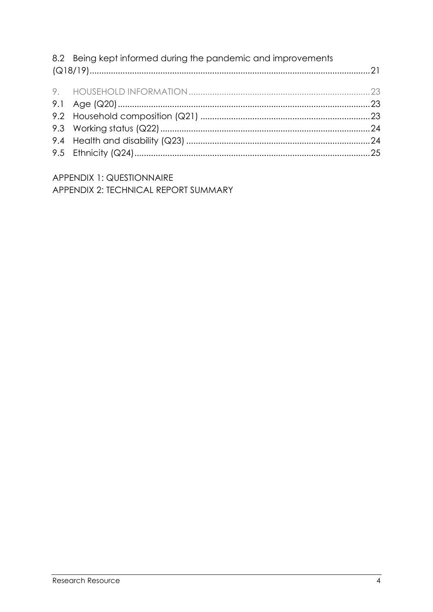| 8.2 Being kept informed during the pandemic and improvements |  |
|--------------------------------------------------------------|--|
|                                                              |  |
|                                                              |  |
|                                                              |  |
|                                                              |  |
|                                                              |  |
|                                                              |  |
|                                                              |  |

APPENDIX 1: QUESTIONNAIRE APPENDIX 2: TECHNICAL REPORT SUMMARY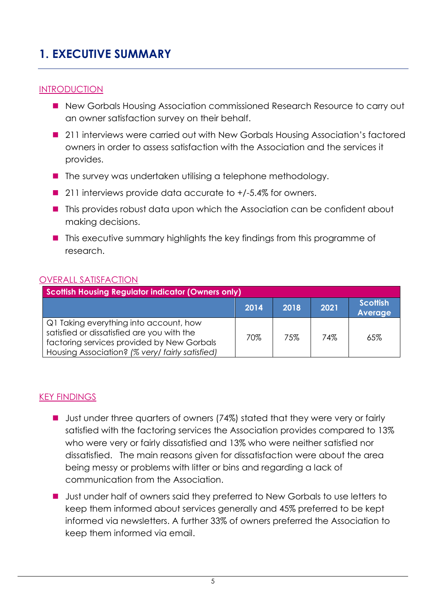### <span id="page-4-0"></span>**1. EXECUTIVE SUMMARY**

### **INTRODUCTION**

- New Gorbals Housing Association commissioned Research Resource to carry out an owner satisfaction survey on their behalf.
- 211 interviews were carried out with New Gorbals Housing Association's factored owners in order to assess satisfaction with the Association and the services it provides.
- $\blacksquare$  The survey was undertaken utilising a telephone methodology.
- 211 interviews provide data accurate to +/-5.4% for owners.
- This provides robust data upon which the Association can be confident about making decisions.
- This executive summary highlights the key findings from this programme of research.

### OVERALL SATISFACTION

| <b>Scottish Housing Regulator indicator (Owners only)</b>                                                                                                                             |      |      |      |                                   |
|---------------------------------------------------------------------------------------------------------------------------------------------------------------------------------------|------|------|------|-----------------------------------|
|                                                                                                                                                                                       | 2014 | 2018 | 2021 | <b>Scottish</b><br><b>Average</b> |
| Q1 Taking everything into account, how<br>satisfied or dissatisfied are you with the<br>factoring services provided by New Gorbals<br>Housing Association? (% very/ fairly satisfied) | 70%  | 75%  | 74%  | 65%                               |

### KEY FINDINGS

- Just under three quarters of owners (74%) stated that they were very or fairly satisfied with the factoring services the Association provides compared to 13% who were very or fairly dissatisfied and 13% who were neither satisfied nor dissatisfied. The main reasons given for dissatisfaction were about the area being messy or problems with litter or bins and regarding a lack of communication from the Association.
- Ust under half of owners said they preferred to New Gorbals to use letters to keep them informed about services generally and 45% preferred to be kept informed via newsletters. A further 33% of owners preferred the Association to keep them informed via email.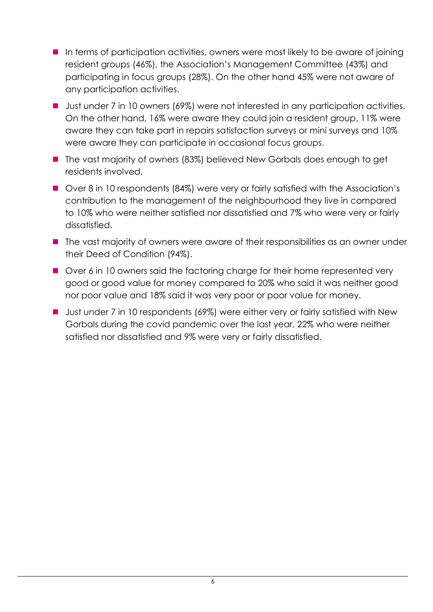- In terms of participation activities, owners were most likely to be aware of joining resident groups (46%), the Association's Management Committee (43%) and participating in focus groups (28%). On the other hand 45% were not aware of any participation activities.
- Just under 7 in 10 owners (69%) were not interested in any participation activities. On the other hand, 16% were aware they could join a resident group, 11% were aware they can take part in repairs satisfaction surveys or mini surveys and 10% were aware they can participate in occasional focus groups.
- The vast majority of owners (83%) believed New Gorbals does enough to get residents involved.
- Over 8 in 10 respondents (84%) were very or fairly satisfied with the Association's contribution to the management of the neighbourhood they live in compared to 10% who were neither satisfied nor dissatisfied and 7% who were very or fairly dissatisfied.
- The vast majority of owners were aware of their responsibilities as an owner under their Deed of Condition (94%).
- Over 6 in 10 owners said the factoring charge for their home represented very good or good value for money compared to 20% who said it was neither good nor poor value and 18% said it was very poor or poor value for money.
- Just under 7 in 10 respondents (69%) were either very or fairly satisfied with New Gorbals during the covid pandemic over the last year, 22% who were neither satisfied nor dissatisfied and 9% were very or fairly dissatisfied.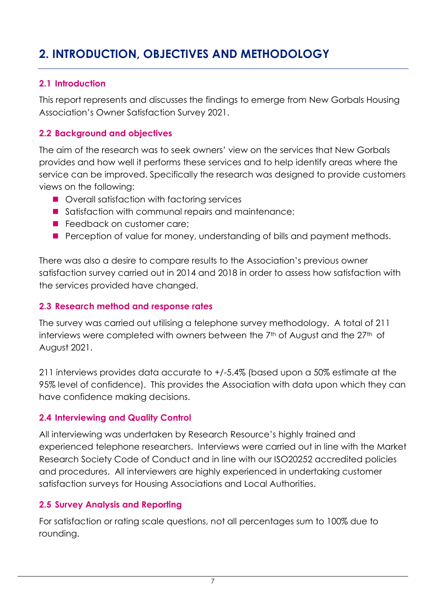### <span id="page-6-0"></span>**2. INTRODUCTION, OBJECTIVES AND METHODOLOGY**

### <span id="page-6-1"></span>**2.1 Introduction**

This report represents and discusses the findings to emerge from New Gorbals Housing Association's Owner Satisfaction Survey 2021.

### <span id="page-6-2"></span>**2.2 Background and objectives**

The aim of the research was to seek owners' view on the services that New Gorbals provides and how well it performs these services and to help identify areas where the service can be improved. Specifically the research was designed to provide customers views on the following:

- Overall satisfaction with factoring services
- Satisfaction with communal repairs and maintenance;
- **Feedback on customer care;**
- **Perception of value for money, understanding of bills and payment methods.**

There was also a desire to compare results to the Association's previous owner satisfaction survey carried out in 2014 and 2018 in order to assess how satisfaction with the services provided have changed.

### <span id="page-6-3"></span>**2.3 Research method and response rates**

The survey was carried out utilising a telephone survey methodology. A total of 211 interviews were completed with owners between the 7<sup>th</sup> of August and the 27<sup>th</sup> of August 2021.

211 interviews provides data accurate to +/-5.4% (based upon a 50% estimate at the 95% level of confidence). This provides the Association with data upon which they can have confidence making decisions.

### <span id="page-6-4"></span>**2.4 Interviewing and Quality Control**

All interviewing was undertaken by Research Resource's highly trained and experienced telephone researchers. Interviews were carried out in line with the Market Research Society Code of Conduct and in line with our ISO20252 accredited policies and procedures. All interviewers are highly experienced in undertaking customer satisfaction surveys for Housing Associations and Local Authorities.

### <span id="page-6-5"></span>**2.5 Survey Analysis and Reporting**

For satisfaction or rating scale questions, not all percentages sum to 100% due to rounding.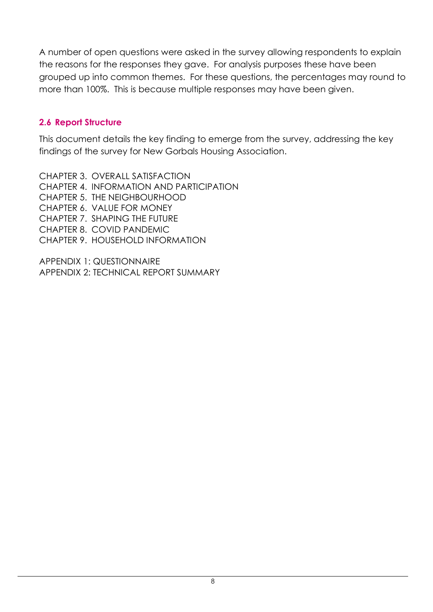A number of open questions were asked in the survey allowing respondents to explain the reasons for the responses they gave. For analysis purposes these have been grouped up into common themes. For these questions, the percentages may round to more than 100%. This is because multiple responses may have been given.

### <span id="page-7-0"></span>**2.6 Report Structure**

This document details the key finding to emerge from the survey, addressing the key findings of the survey for New Gorbals Housing Association.

CHAPTER 3. OVERALL SATISFACTION CHAPTER 4. INFORMATION AND PARTICIPATION CHAPTER 5. THE NEIGHBOURHOOD CHAPTER 6. VALUE FOR MONEY CHAPTER 7. SHAPING THE FUTURE CHAPTER 8. COVID PANDEMIC CHAPTER 9. HOUSEHOLD INFORMATION

APPENDIX 1: QUESTIONNAIRE APPENDIX 2: TECHNICAL REPORT SUMMARY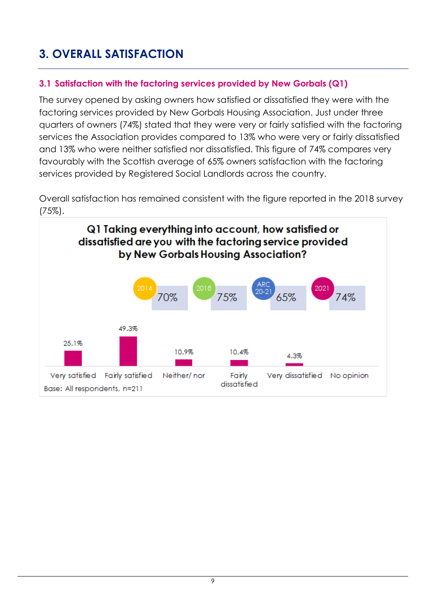### <span id="page-8-0"></span>**3. OVERALL SATISFACTION**

### <span id="page-8-1"></span>**3.1 Satisfaction with the factoring services provided by New Gorbals (Q1)**

The survey opened by asking owners how satisfied or dissatisfied they were with the factoring services provided by New Gorbals Housing Association. Just under three quarters of owners (74%) stated that they were very or fairly satisfied with the factoring services the Association provides compared to 13% who were very or fairly dissatisfied and 13% who were neither satisfied nor dissatisfied. This figure of 74% compares very favourably with the Scottish average of 65% owners satisfaction with the factoring services provided by Registered Social Landlords across the country.

Overall satisfaction has remained consistent with the figure reported in the 2018 survey (75%).

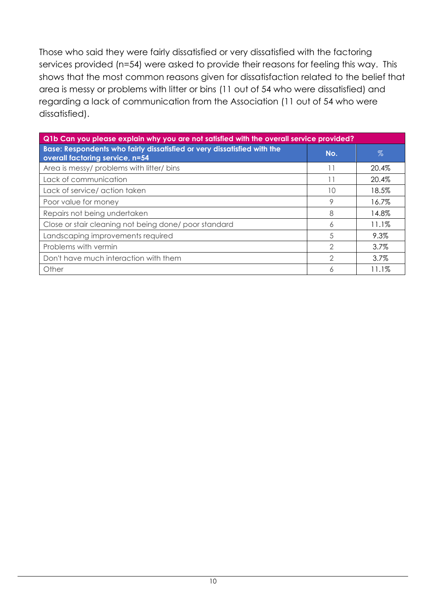Those who said they were fairly dissatisfied or very dissatisfied with the factoring services provided (n=54) were asked to provide their reasons for feeling this way. This shows that the most common reasons given for dissatisfaction related to the belief that area is messy or problems with litter or bins (11 out of 54 who were dissatisfied) and regarding a lack of communication from the Association (11 out of 54 who were dissatisfied).

| Q1b Can you please explain why you are not satisfied with the overall service provided?                    |               |         |  |
|------------------------------------------------------------------------------------------------------------|---------------|---------|--|
| Base: Respondents who fairly dissatisfied or very dissatisfied with the<br>overall factoring service, n=54 | No.           | $\%$    |  |
| Area is messy/ problems with litter/ bins                                                                  |               | 20.4%   |  |
| Lack of communication                                                                                      |               | 20.4%   |  |
| Lack of service/ action taken                                                                              | 10            | 18.5%   |  |
| Poor value for money                                                                                       | 9             | 16.7%   |  |
| Repairs not being undertaken                                                                               | 8             | 14.8%   |  |
| Close or stair cleaning not being done/poor standard                                                       | 6             | 11.1%   |  |
| Landscaping improvements required                                                                          | 5             | 9.3%    |  |
| Problems with vermin                                                                                       | 2             | $3.7\%$ |  |
| Don't have much interaction with them                                                                      | $\mathcal{D}$ | 3.7%    |  |
| Other                                                                                                      | Α             | 11.1%   |  |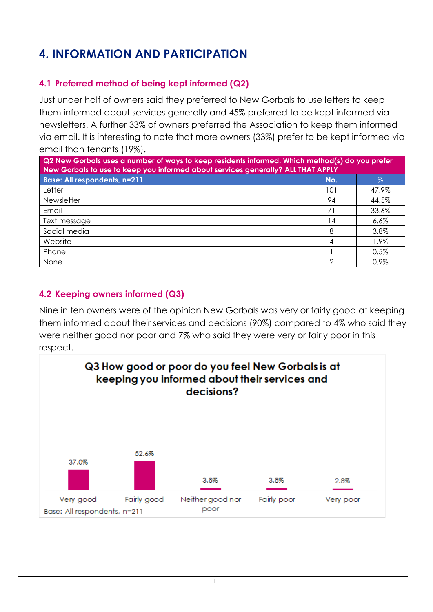### <span id="page-10-0"></span>**4. INFORMATION AND PARTICIPATION**

### <span id="page-10-1"></span>**4.1 Preferred method of being kept informed (Q2)**

Just under half of owners said they preferred to New Gorbals to use letters to keep them informed about services generally and 45% preferred to be kept informed via newsletters. A further 33% of owners preferred the Association to keep them informed via email. It is interesting to note that more owners (33%) prefer to be kept informed via email than tenants (19%).

| Q2 New Gorbals uses a number of ways to keep residents informed. Which method(s) do you prefer<br>New Gorbals to use to keep you informed about services generally? ALL THAT APPLY |     |         |  |
|------------------------------------------------------------------------------------------------------------------------------------------------------------------------------------|-----|---------|--|
| <b>Base: All respondents, n=211</b>                                                                                                                                                | No. | $\%$    |  |
| Letter                                                                                                                                                                             | 101 | 47.9%   |  |
| <b>Newsletter</b>                                                                                                                                                                  | 94  | 44.5%   |  |
| Email                                                                                                                                                                              | 71  | 33.6%   |  |
| Text message                                                                                                                                                                       | 14  | $6.6\%$ |  |
| Social media                                                                                                                                                                       | 8   | 3.8%    |  |
| Website                                                                                                                                                                            |     | 1.9%    |  |
| Phone                                                                                                                                                                              |     | 0.5%    |  |
| None                                                                                                                                                                               | ⌒   | 0.9%    |  |

### <span id="page-10-2"></span>**4.2 Keeping owners informed (Q3)**

Nine in ten owners were of the opinion New Gorbals was very or fairly good at keeping them informed about their services and decisions (90%) compared to 4% who said they were neither good nor poor and 7% who said they were very or fairly poor in this respect.

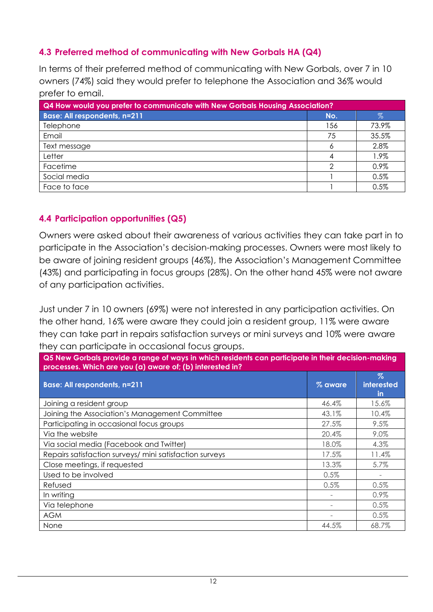### <span id="page-11-0"></span>**4.3 Preferred method of communicating with New Gorbals HA (Q4)**

In terms of their preferred method of communicating with New Gorbals, over 7 in 10 owners (74%) said they would prefer to telephone the Association and 36% would prefer to email.

| <b>Q4 How would you prefer to communicate with New Gorbals Housing Association?</b> |     |       |  |
|-------------------------------------------------------------------------------------|-----|-------|--|
| <b>Base: All respondents, n=211</b>                                                 | No. | %     |  |
| Telephone                                                                           | 156 | 73.9% |  |
| Email                                                                               | 75  | 35.5% |  |
| Text message                                                                        | Ô   | 2.8%  |  |
| Letter                                                                              |     | 1.9%  |  |
| Facetime                                                                            |     | 0.9%  |  |
| Social media                                                                        |     | 0.5%  |  |
| Face to face                                                                        |     | 0.5%  |  |

### <span id="page-11-1"></span>**4.4 Participation opportunities (Q5)**

Owners were asked about their awareness of various activities they can take part in to participate in the Association's decision-making processes. Owners were most likely to be aware of joining resident groups (46%), the Association's Management Committee (43%) and participating in focus groups (28%). On the other hand 45% were not aware of any participation activities.

Just under 7 in 10 owners (69%) were not interested in any participation activities. On the other hand, 16% were aware they could join a resident group, 11% were aware they can take part in repairs satisfaction surveys or mini surveys and 10% were aware they can participate in occasional focus groups.

| Q5 New Gorbals provide a range of ways in which residents can participate in their decision-making<br>processes. Which are you (a) aware of; (b) interested in? |         |                                        |  |
|-----------------------------------------------------------------------------------------------------------------------------------------------------------------|---------|----------------------------------------|--|
| <b>Base: All respondents, n=211</b>                                                                                                                             | % aware | $\%$<br><b>interested</b><br><u>in</u> |  |
| Joining a resident group                                                                                                                                        | 46.4%   | 15.6%                                  |  |
| Joining the Association's Management Committee                                                                                                                  | 43.1%   | 10.4%                                  |  |
| Participating in occasional focus groups                                                                                                                        | 27.5%   | 9.5%                                   |  |
| Via the website                                                                                                                                                 | 20.4%   | 9.0%                                   |  |
| Via social media (Facebook and Twitter)                                                                                                                         | 18.0%   | 4.3%                                   |  |
| Repairs satisfaction surveys/ mini satisfaction surveys                                                                                                         | 17.5%   | 11.4%                                  |  |
| Close meetings, if requested                                                                                                                                    | 13.3%   | 5.7%                                   |  |
| Used to be involved                                                                                                                                             | 0.5%    |                                        |  |
| Refused                                                                                                                                                         | 0.5%    | $0.5\%$                                |  |
| In writing                                                                                                                                                      |         | 0.9%                                   |  |
| Via telephone                                                                                                                                                   |         | 0.5%                                   |  |
| <b>AGM</b>                                                                                                                                                      |         | $0.5\%$                                |  |
| None                                                                                                                                                            | 44.5%   | 68.7%                                  |  |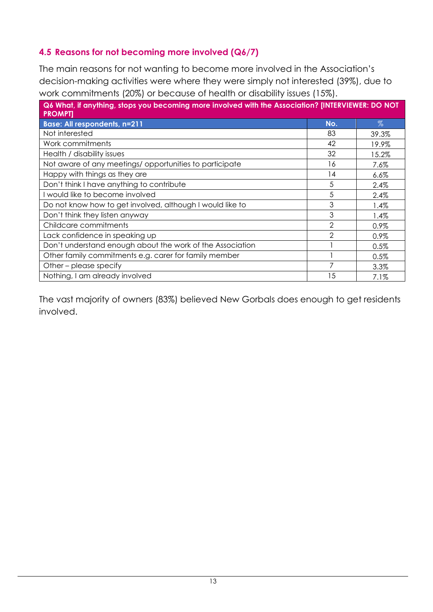### <span id="page-12-0"></span>**4.5 Reasons for not becoming more involved (Q6/7)**

The main reasons for not wanting to become more involved in the Association's decision-making activities were where they were simply not interested (39%), due to work commitments (20%) or because of health or disability issues (15%).

| Q6 What, if anything, stops you becoming more involved with the Association? [INTERVIEWER: DO NOT<br><b>PROMPTI</b> |     |         |
|---------------------------------------------------------------------------------------------------------------------|-----|---------|
| <b>Base: All respondents, n=211</b>                                                                                 | No. | $\%$    |
| Not interested                                                                                                      | 83  | 39.3%   |
| Work commitments                                                                                                    | 42  | 19.9%   |
| Health / disability issues                                                                                          | 32  | 15.2%   |
| Not aware of any meetings/opportunities to participate                                                              | 16  | 7.6%    |
| Happy with things as they are                                                                                       | 14  | 6.6%    |
| Don't think I have anything to contribute                                                                           | 5   | 2.4%    |
| I would like to become involved                                                                                     | 5   | 2.4%    |
| Do not know how to get involved, although I would like to                                                           | 3   | 1.4%    |
| Don't think they listen anyway                                                                                      | 3   | 1.4%    |
| Childcare commitments                                                                                               | 2   | 0.9%    |
| Lack confidence in speaking up                                                                                      | 2   | 0.9%    |
| Don't understand enough about the work of the Association                                                           |     | 0.5%    |
| Other family commitments e.g. carer for family member                                                               |     | 0.5%    |
| Other – please specify                                                                                              | 7   | 3.3%    |
| Nothing, I am already involved                                                                                      | 15  | $7.1\%$ |

The vast majority of owners (83%) believed New Gorbals does enough to get residents involved.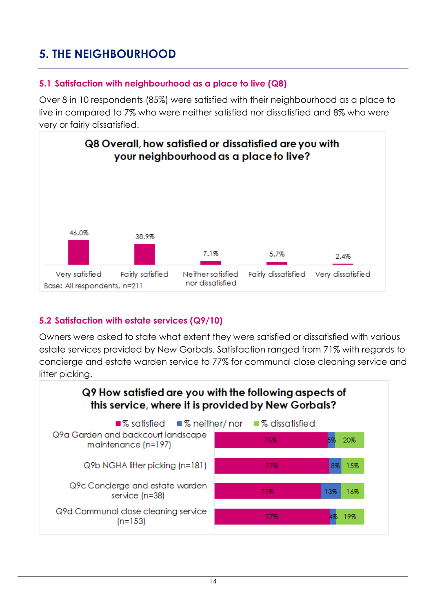### <span id="page-13-0"></span>**5. THE NEIGHBOURHOOD**

### <span id="page-13-1"></span>**5.1 Satisfaction with neighbourhood as a place to live (Q8)**

Over 8 in 10 respondents (85%) were satisfied with their neighbourhood as a place to live in compared to 7% who were neither satisfied nor dissatisfied and 8% who were very or fairly dissatisfied.



### <span id="page-13-2"></span>**5.2 Satisfaction with estate services (Q9/10)**

Owners were asked to state what extent they were satisfied or dissatisfied with various estate services provided by New Gorbals. Satisfaction ranged from 71% with regards to concierge and estate warden service to 77% for communal close cleaning service and litter picking.

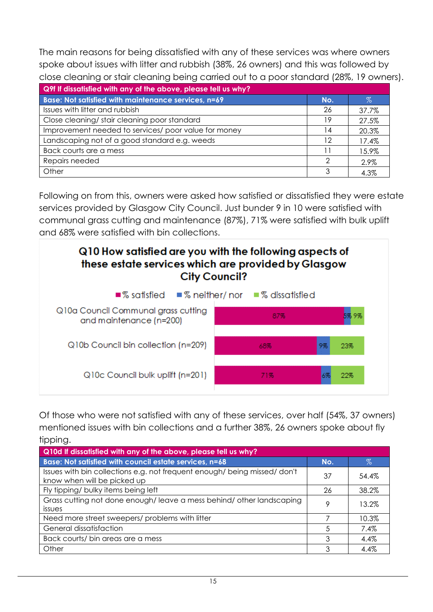The main reasons for being dissatisfied with any of these services was where owners spoke about issues with litter and rubbish (38%, 26 owners) and this was followed by close cleaning or stair cleaning being carried out to a poor standard (28%, 19 owners).

| Q9f If dissatisfied with any of the above, please tell us why? |     |       |  |  |
|----------------------------------------------------------------|-----|-------|--|--|
| Base: Not satisfied with maintenance services, n=69            | No. | $\%$  |  |  |
| Issues with litter and rubbish                                 | 26  | 37.7% |  |  |
| Close cleaning/stair cleaning poor standard                    | 19  | 27.5% |  |  |
| Improvement needed to services/ poor value for money           | l 4 | 20.3% |  |  |
| Landscaping not of a good standard e.g. weeds                  | 12  | 17.4% |  |  |
| Back courts are a mess                                         |     | 15.9% |  |  |
| Repairs needed                                                 | ⌒   | 2.9%  |  |  |
| Other                                                          |     | 4.3%  |  |  |

Following on from this, owners were asked how satisfied or dissatisfied they were estate services provided by Glasgow City Council. Just bunder 9 in 10 were satisfied with communal grass cutting and maintenance (87%), 71% were satisfied with bulk uplift and 68% were satisfied with bin collections.



Of those who were not satisfied with any of these services, over half (54%, 37 owners) mentioned issues with bin collections and a further 38%, 26 owners spoke about fly tipping.

| Q10d If dissatisfied with any of the above, please tell us why?                                          |     |       |  |
|----------------------------------------------------------------------------------------------------------|-----|-------|--|
| Base: Not satisfied with council estate services, n=68                                                   | No. | $\%$  |  |
| Issues with bin collections e.g. not frequent enough/ being missed/ don't<br>know when will be picked up | 37  | 54.4% |  |
| Fly tipping/ bulky items being left                                                                      | 26  | 38.2% |  |
| Grass cutting not done enough/leave a mess behind/other landscaping<br><i>issues</i>                     | 9   | 13.2% |  |
| Need more street sweepers/ problems with litter                                                          |     | 10.3% |  |
| General dissatisfaction                                                                                  | 5   | 7.4%  |  |
| Back courts/ bin areas are a mess                                                                        | 3   | 4.4%  |  |
| Other                                                                                                    | ٩   | 4.4%  |  |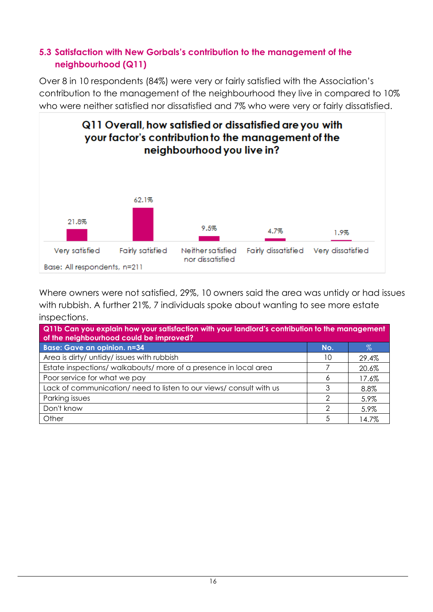### <span id="page-15-0"></span>**5.3 Satisfaction with New Gorbals's contribution to the management of the neighbourhood (Q11)**

Over 8 in 10 respondents (84%) were very or fairly satisfied with the Association's contribution to the management of the neighbourhood they live in compared to 10% who were neither satisfied nor dissatisfied and 7% who were very or fairly dissatisfied.



Where owners were not satisfied, 29%, 10 owners said the area was untidy or had issues with rubbish. A further 21%, 7 individuals spoke about wanting to see more estate inspections.

| Q11b Can you explain how your satisfaction with your landlord's contribution to the management<br>of the neighbourhood could be improved? |     |       |  |
|-------------------------------------------------------------------------------------------------------------------------------------------|-----|-------|--|
| <b>Base: Gave an opinion. n=34</b>                                                                                                        | No. | $\%$  |  |
| Area is dirty/ untidy/ issues with rubbish                                                                                                | 10  | 29.4% |  |
| Estate inspections/walkabouts/more of a presence in local area                                                                            |     | 20.6% |  |
| Poor service for what we pay                                                                                                              |     | 17.6% |  |
| Lack of communication/ need to listen to our views/ consult with us                                                                       |     | 8.8%  |  |
| Parking issues                                                                                                                            | ◠   | 5.9%  |  |
| Don't know                                                                                                                                | ◠   | 5.9%  |  |
| Other                                                                                                                                     | 5   | 14.7% |  |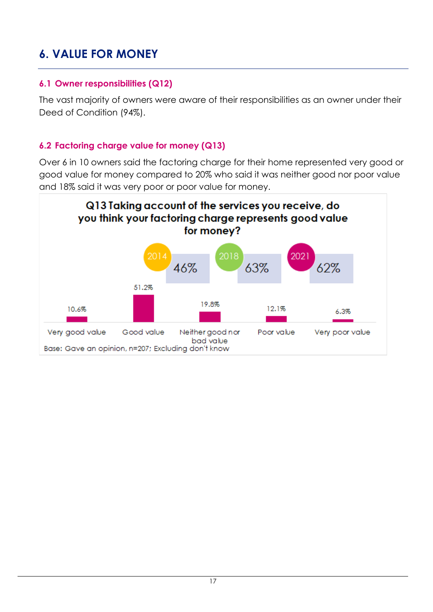### <span id="page-16-0"></span>**6. VALUE FOR MONEY**

### <span id="page-16-1"></span>**6.1 Owner responsibilities (Q12)**

The vast majority of owners were aware of their responsibilities as an owner under their Deed of Condition (94%).

### <span id="page-16-2"></span>**6.2 Factoring charge value for money (Q13)**

Over 6 in 10 owners said the factoring charge for their home represented very good or good value for money compared to 20% who said it was neither good nor poor value and 18% said it was very poor or poor value for money.

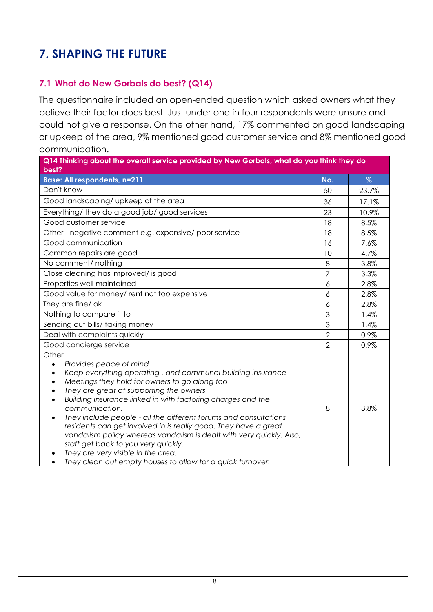### <span id="page-17-0"></span>**7. SHAPING THE FUTURE**

### <span id="page-17-1"></span>**7.1 What do New Gorbals do best? (Q14)**

The questionnaire included an open-ended question which asked owners what they believe their factor does best. Just under one in four respondents were unsure and could not give a response. On the other hand, 17% commented on good landscaping or upkeep of the area, 9% mentioned good customer service and 8% mentioned good communication.

| Q14 Thinking about the overall service provided by New Gorbals, what do you think they do<br>best?                                                                                                                                                                                                                                                                                                                                                                                                                                                                                                                                   |                |       |
|--------------------------------------------------------------------------------------------------------------------------------------------------------------------------------------------------------------------------------------------------------------------------------------------------------------------------------------------------------------------------------------------------------------------------------------------------------------------------------------------------------------------------------------------------------------------------------------------------------------------------------------|----------------|-------|
| <b>Base: All respondents, n=211</b>                                                                                                                                                                                                                                                                                                                                                                                                                                                                                                                                                                                                  | No.            | %     |
| Don't know                                                                                                                                                                                                                                                                                                                                                                                                                                                                                                                                                                                                                           | 50             | 23.7% |
| Good landscaping/ upkeep of the area                                                                                                                                                                                                                                                                                                                                                                                                                                                                                                                                                                                                 | 36             | 17.1% |
| Everything/ they do a good job/ good services                                                                                                                                                                                                                                                                                                                                                                                                                                                                                                                                                                                        | 23             | 10.9% |
| Good customer service                                                                                                                                                                                                                                                                                                                                                                                                                                                                                                                                                                                                                | 18             | 8.5%  |
| Other - negative comment e.g. expensive/ poor service                                                                                                                                                                                                                                                                                                                                                                                                                                                                                                                                                                                | 18             | 8.5%  |
| Good communication                                                                                                                                                                                                                                                                                                                                                                                                                                                                                                                                                                                                                   | 16             | 7.6%  |
| Common repairs are good                                                                                                                                                                                                                                                                                                                                                                                                                                                                                                                                                                                                              | 10             | 4.7%  |
| No comment/ nothing                                                                                                                                                                                                                                                                                                                                                                                                                                                                                                                                                                                                                  | 8              | 3.8%  |
| Close cleaning has improved/ is good                                                                                                                                                                                                                                                                                                                                                                                                                                                                                                                                                                                                 | $\overline{7}$ | 3.3%  |
| Properties well maintained                                                                                                                                                                                                                                                                                                                                                                                                                                                                                                                                                                                                           | 6              | 2.8%  |
| Good value for money/ rent not too expensive                                                                                                                                                                                                                                                                                                                                                                                                                                                                                                                                                                                         | 6              | 2.8%  |
| They are fine/ ok                                                                                                                                                                                                                                                                                                                                                                                                                                                                                                                                                                                                                    | 6              | 2.8%  |
| Nothing to compare it to                                                                                                                                                                                                                                                                                                                                                                                                                                                                                                                                                                                                             | 3              | 1.4%  |
| Sending out bills/ taking money                                                                                                                                                                                                                                                                                                                                                                                                                                                                                                                                                                                                      | 3              | 1.4%  |
| Deal with complaints quickly                                                                                                                                                                                                                                                                                                                                                                                                                                                                                                                                                                                                         | $\overline{2}$ | 0.9%  |
| Good concierge service                                                                                                                                                                                                                                                                                                                                                                                                                                                                                                                                                                                                               | $\overline{2}$ | 0.9%  |
| Other<br>Provides peace of mind<br>Keep everything operating. and communal building insurance<br>Meetings they hold for owners to go along too<br>They are great at supporting the owners<br>Building insurance linked in with factoring charges and the<br>communication.<br>They include people - all the different forums and consultations<br>residents can get involved in is really good. They have a great<br>vandalism policy whereas vandalism is dealt with very quickly. Also,<br>staff get back to you very quickly.<br>They are very visible in the area.<br>They clean out empty houses to allow for a quick turnover. | 8              | 3.8%  |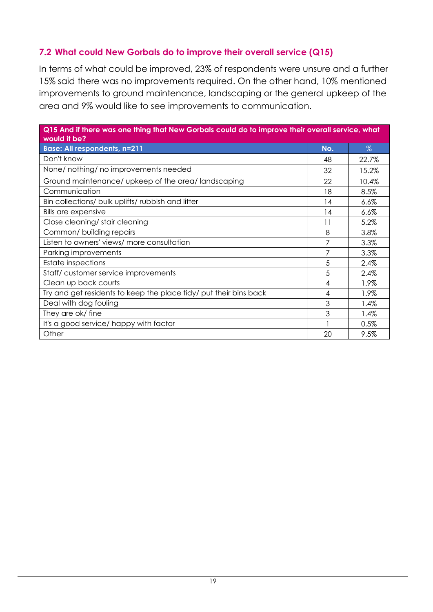### <span id="page-18-0"></span>**7.2 What could New Gorbals do to improve their overall service (Q15)**

In terms of what could be improved, 23% of respondents were unsure and a further 15% said there was no improvements required. On the other hand, 10% mentioned improvements to ground maintenance, landscaping or the general upkeep of the area and 9% would like to see improvements to communication.

| Q15 And if there was one thing that New Gorbals could do to improve their overall service, what<br>would it be? |     |         |
|-----------------------------------------------------------------------------------------------------------------|-----|---------|
| <b>Base: All respondents, n=211</b>                                                                             | No. | $\%$    |
| Don't know                                                                                                      | 48  | 22.7%   |
| None/ nothing/ no improvements needed                                                                           | 32  | 15.2%   |
| Ground maintenance/ upkeep of the area/landscaping                                                              | 22  | 10.4%   |
| Communication                                                                                                   | 18  | 8.5%    |
| Bin collections/ bulk uplifts/ rubbish and litter                                                               | 14  | 6.6%    |
| <b>Bills are expensive</b>                                                                                      | 14  | $6.6\%$ |
| Close cleaning/ stair cleaning                                                                                  | 11  | 5.2%    |
| Common/ building repairs                                                                                        | 8   | 3.8%    |
| Listen to owners' views/ more consultation                                                                      | 7   | 3.3%    |
| Parking improvements                                                                                            | 7   | 3.3%    |
| <b>Estate inspections</b>                                                                                       | 5   | 2.4%    |
| Staff/customer service improvements                                                                             | 5   | 2.4%    |
| Clean up back courts                                                                                            | 4   | 1.9%    |
| Try and get residents to keep the place tidy/ put their bins back                                               | 4   | 1.9%    |
| Deal with dog fouling                                                                                           | 3   | 1.4%    |
| They are ok/ fine                                                                                               | 3   | 1.4%    |
| It's a good service/ happy with factor                                                                          |     | 0.5%    |
| Other                                                                                                           | 20  | 9.5%    |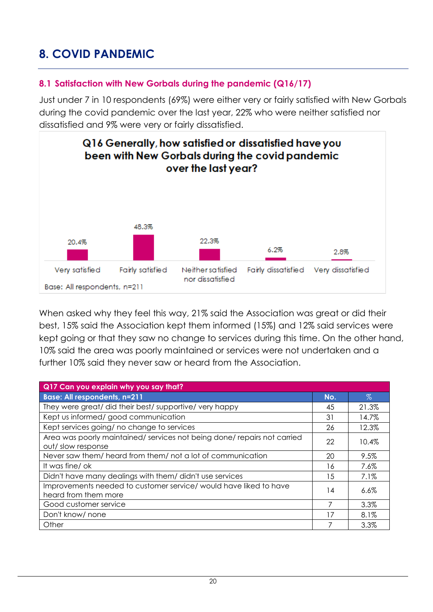### <span id="page-19-0"></span>**8. COVID PANDEMIC**

### <span id="page-19-1"></span>**8.1 Satisfaction with New Gorbals during the pandemic (Q16/17)**

Just under 7 in 10 respondents (69%) were either very or fairly satisfied with New Gorbals during the covid pandemic over the last year, 22% who were neither satisfied nor dissatisfied and 9% were very or fairly dissatisfied.



When asked why they feel this way, 21% said the Association was great or did their best, 15% said the Association kept them informed (15%) and 12% said services were kept going or that they saw no change to services during this time. On the other hand, 10% said the area was poorly maintained or services were not undertaken and a further 10% said they never saw or heard from the Association.

| Q17 Can you explain why you say that?                                                       |     |       |
|---------------------------------------------------------------------------------------------|-----|-------|
| <b>Base: All respondents, n=211</b>                                                         | No. | $\%$  |
| They were great/ did their best/ supportive/ very happy                                     | 45  | 21.3% |
| Kept us informed/good communication                                                         | 31  | 14.7% |
| Kept services going/ no change to services                                                  | 26  | 12.3% |
| Area was poorly maintained/services not being done/repairs not carried<br>out/slow response | 22  | 10.4% |
| Never saw them/heard from them/not a lot of communication                                   | 20  | 9.5%  |
| It was fine/ok                                                                              | 16  | 7.6%  |
| Didn't have many dealings with them/ didn't use services                                    | 15  | 7.1%  |
| Improvements needed to customer service/ would have liked to have<br>heard from them more   | 14  | 6.6%  |
| Good customer service                                                                       | 7   | 3.3%  |
| Don't know/ none                                                                            | 17  | 8.1%  |
| Other                                                                                       | 7   | 3.3%  |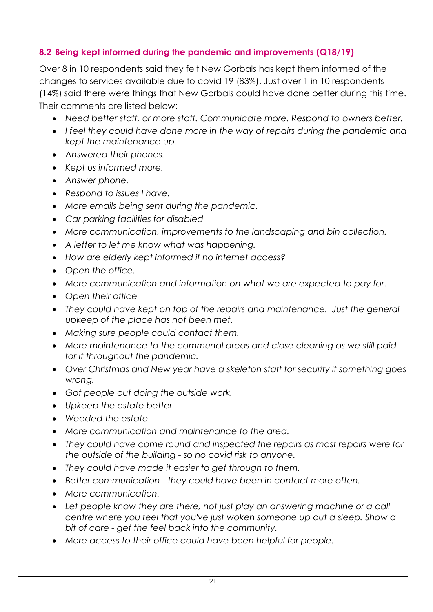### <span id="page-20-0"></span>**8.2 Being kept informed during the pandemic and improvements (Q18/19)**

Over 8 in 10 respondents said they felt New Gorbals has kept them informed of the changes to services available due to covid 19 (83%). Just over 1 in 10 respondents (14%) said there were things that New Gorbals could have done better during this time. Their comments are listed below:

- *Need better staff, or more staff. Communicate more. Respond to owners better.*
- *I feel they could have done more in the way of repairs during the pandemic and kept the maintenance up.*
- *Answered their phones.*
- *Kept us informed more.*
- *Answer phone.*
- *Respond to issues I have.*
- *More emails being sent during the pandemic.*
- *Car parking facilities for disabled*
- *More communication, improvements to the landscaping and bin collection.*
- *A letter to let me know what was happening.*
- *How are elderly kept informed if no internet access?*
- *Open the office.*
- *More communication and information on what we are expected to pay for.*
- *Open their office*
- *They could have kept on top of the repairs and maintenance. Just the general upkeep of the place has not been met.*
- *Making sure people could contact them.*
- *More maintenance to the communal areas and close cleaning as we still paid for it throughout the pandemic.*
- *Over Christmas and New year have a skeleton staff for security if something goes wrong.*
- *Got people out doing the outside work.*
- *Upkeep the estate better.*
- *Weeded the estate.*
- *More communication and maintenance to the area.*
- *They could have come round and inspected the repairs as most repairs were for the outside of the building - so no covid risk to anyone.*
- *They could have made it easier to get through to them.*
- *Better communication - they could have been in contact more often.*
- *More communication.*
- Let people know they are there, not just play an answering machine or a call *centre where you feel that you've just woken someone up out a sleep. Show a bit of care - get the feel back into the community.*
- *More access to their office could have been helpful for people.*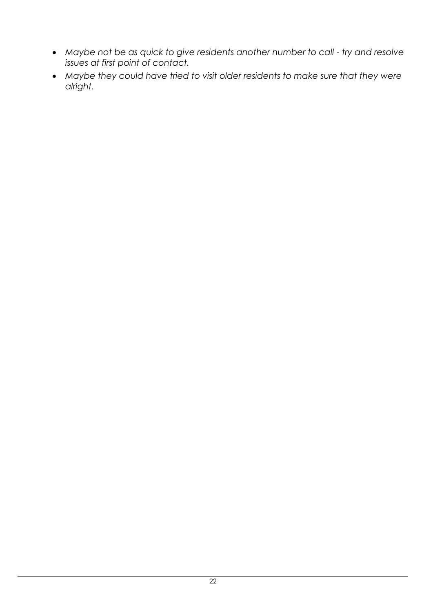- *Maybe not be as quick to give residents another number to call - try and resolve issues at first point of contact.*
- *Maybe they could have tried to visit older residents to make sure that they were alright.*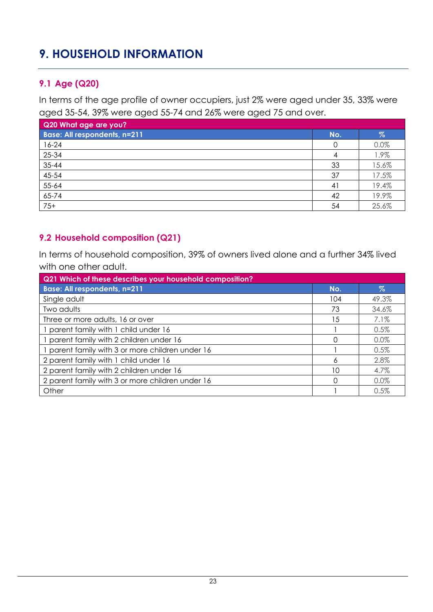### <span id="page-22-0"></span>**9. HOUSEHOLD INFORMATION**

### <span id="page-22-1"></span>**9.1 Age (Q20)**

In terms of the age profile of owner occupiers, just 2% were aged under 35, 33% were aged 35-54, 39% were aged 55-74 and 26% were aged 75 and over.

| Q20 What age are you?               |     |       |
|-------------------------------------|-----|-------|
| <b>Base: All respondents, n=211</b> | No. | %     |
| $16 - 24$                           |     | 0.0%  |
| 25-34                               |     | 1.9%  |
| $35 - 44$                           | 33  | 15.6% |
| 45-54                               | 37  | 17.5% |
| 55-64                               | 41  | 19.4% |
| 65-74                               | 42  | 19.9% |
| $75+$                               | 54  | 25.6% |

### <span id="page-22-2"></span>**9.2 Household composition (Q21)**

In terms of household composition, 39% of owners lived alone and a further 34% lived with one other adult.

| Q21 Which of these describes your household composition? |     |         |
|----------------------------------------------------------|-----|---------|
| <b>Base: All respondents, n=211</b>                      | No. | Z.      |
| Single adult                                             | 104 | 49.3%   |
| Two adults                                               | 73  | 34.6%   |
| Three or more adults, 16 or over                         | 15  | 7.1%    |
| parent family with 1 child under 16                      |     | 0.5%    |
| parent family with 2 children under 16                   | ∩   | $0.0\%$ |
| parent family with 3 or more children under 16           |     | 0.5%    |
| 2 parent family with 1 child under 16                    | 6   | 2.8%    |
| 2 parent family with 2 children under 16                 | 10  | 4.7%    |
| 2 parent family with 3 or more children under 16         | ∩   | 0.0%    |
| Other                                                    |     | 0.5%    |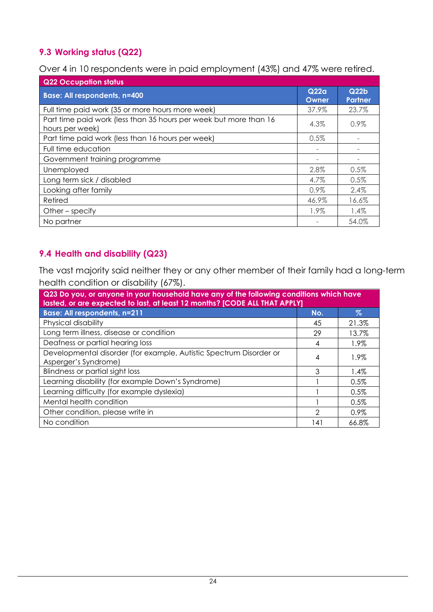### <span id="page-23-0"></span>**9.3 Working status (Q22)**

Over 4 in 10 respondents were in paid employment (43%) and 47% were retired.

| <b>Q22 Occupation status</b>                                                         |               |                                    |
|--------------------------------------------------------------------------------------|---------------|------------------------------------|
| <b>Base: All respondents, n=400</b>                                                  | Q22q<br>Owner | Q <sub>22b</sub><br><b>Partner</b> |
| Full time paid work (35 or more hours more week)                                     | 37.9%         | 23.7%                              |
| Part time paid work (less than 35 hours per week but more than 16<br>hours per week) | 4.3%          | $0.9\%$                            |
| Part time paid work (less than 16 hours per week)                                    | 0.5%          |                                    |
| Full time education                                                                  |               |                                    |
| Government training programme                                                        |               |                                    |
| Unemployed                                                                           | 2.8%          | 0.5%                               |
| Long term sick / disabled                                                            | 4.7%          | 0.5%                               |
| Looking after family                                                                 | $0.9\%$       | $2.4\%$                            |
| Retired                                                                              | 46.9%         | 16.6%                              |
| Other $-$ specify                                                                    | 1.9%          | 1.4%                               |
| No partner                                                                           |               | 54.0%                              |

### <span id="page-23-1"></span>**9.4 Health and disability (Q23)**

The vast majority said neither they or any other member of their family had a long-term health condition or disability (67%).

| Q23 Do you, or anyone in your household have any of the following conditions which have<br>lasted, or are expected to last, at least 12 months? [CODE ALL THAT APPLY] |               |         |
|-----------------------------------------------------------------------------------------------------------------------------------------------------------------------|---------------|---------|
| <b>Base: All respondents, n=211</b>                                                                                                                                   | No.           | $\%$    |
| Physical disability                                                                                                                                                   | 45            | 21.3%   |
| Long term illness, disease or condition                                                                                                                               | 29            | 13.7%   |
| Deafness or partial hearing loss                                                                                                                                      | 4             | 1.9%    |
| Developmental disorder (for example, Autistic Spectrum Disorder or<br>Asperger's Syndrome)                                                                            | 4             | 1.9%    |
| <b>Blindness or partial sight loss</b>                                                                                                                                | 3             | $1.4\%$ |
| Learning disability (for example Down's Syndrome)                                                                                                                     |               | 0.5%    |
| Learning difficulty (for example dyslexia)                                                                                                                            |               | $0.5\%$ |
| Mental health condition                                                                                                                                               |               | 0.5%    |
| Other condition, please write in                                                                                                                                      | $\mathcal{P}$ | $0.9\%$ |
| No condition                                                                                                                                                          | 141           | 66.8%   |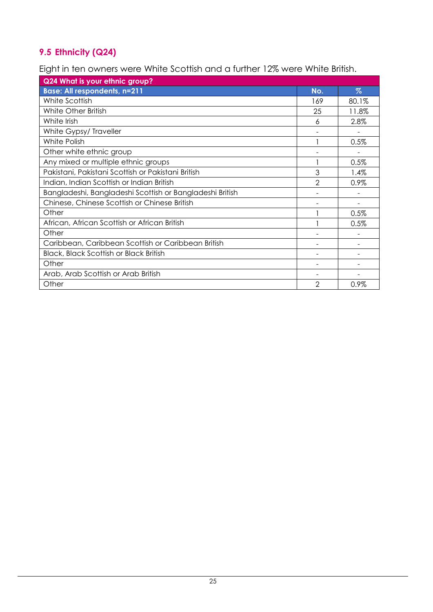### <span id="page-24-0"></span>**9.5 Ethnicity (Q24)**

Eight in ten owners were White Scottish and a further 12% were White British.

| Q24 What is your ethnic group?                           |                |       |
|----------------------------------------------------------|----------------|-------|
| <b>Base: All respondents, n=211</b>                      | No.            | $\%$  |
| White Scottish                                           | 169            | 80.1% |
| White Other British                                      | 25             | 11.8% |
| White Irish                                              | 6              | 2.8%  |
| White Gypsy/ Traveller                                   |                |       |
| White Polish                                             |                | 0.5%  |
| Other white ethnic group                                 |                |       |
| Any mixed or multiple ethnic groups                      |                | 0.5%  |
| Pakistani, Pakistani Scottish or Pakistani British       | 3              | 1.4%  |
| Indian, Indian Scottish or Indian British                | $\mathfrak{D}$ | 0.9%  |
| Bangladeshi, Bangladeshi Scottish or Bangladeshi British |                |       |
| Chinese, Chinese Scottish or Chinese British             |                |       |
| Other                                                    |                | 0.5%  |
| African, African Scottish or African British             |                | 0.5%  |
| Other                                                    |                |       |
| Caribbean, Caribbean Scottish or Caribbean British       |                |       |
| <b>Black, Black Scottish or Black British</b>            |                |       |
| Other                                                    |                |       |
| Arab, Arab Scottish or Arab British                      |                |       |
| Other                                                    | $\overline{2}$ | 0.9%  |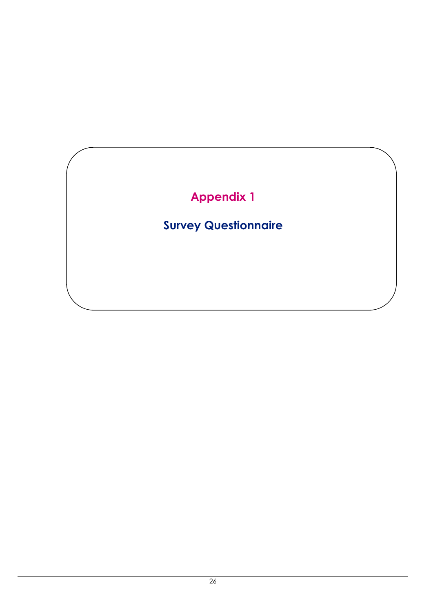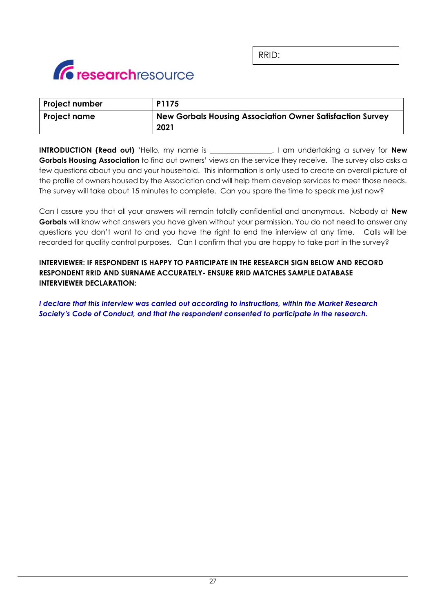

RRID:

| <b>Project number</b> | P1175                                                                    |
|-----------------------|--------------------------------------------------------------------------|
| <b>Project name</b>   | <b>New Gorbals Housing Association Owner Satisfaction Survey</b><br>2021 |

**INTRODUCTION (Read out)** 'Hello, my name is \_\_\_\_\_\_\_\_\_\_\_\_\_\_\_\_\_. I am undertaking a survey for **New Gorbals Housing Association** to find out owners' views on the service they receive. The survey also asks a few questions about you and your household. This information is only used to create an overall picture of the profile of owners housed by the Association and will help them develop services to meet those needs. The survey will take about 15 minutes to complete. Can you spare the time to speak me just now?

Can I assure you that all your answers will remain totally confidential and anonymous. Nobody at **New Gorbals** will know what answers you have given without your permission. You do not need to answer any questions you don't want to and you have the right to end the interview at any time. Calls will be recorded for quality control purposes. Can I confirm that you are happy to take part in the survey?

#### **INTERVIEWER: IF RESPONDENT IS HAPPY TO PARTICIPATE IN THE RESEARCH SIGN BELOW AND RECORD RESPONDENT RRID AND SURNAME ACCURATELY- ENSURE RRID MATCHES SAMPLE DATABASE INTERVIEWER DECLARATION:**

*I declare that this interview was carried out according to instructions, within the Market Research Society's Code of Conduct, and that the respondent consented to participate in the research.*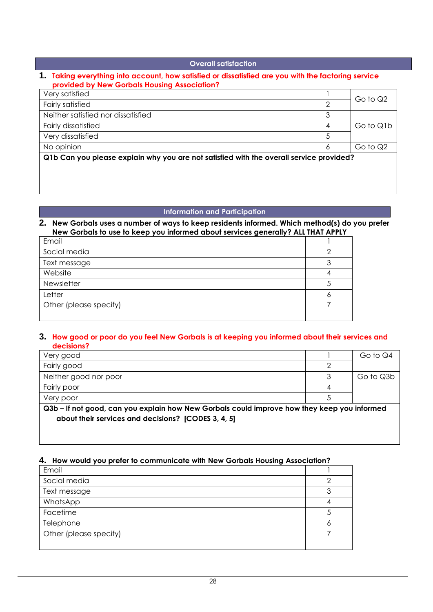#### **Overall satisfaction**

#### **1. Taking everything into account, how satisfied or dissatisfied are you with the factoring service provided by New Gorbals Housing Association?**

| Very satisfied                                                                          |   | Go to Q2  |
|-----------------------------------------------------------------------------------------|---|-----------|
| <b>Fairly satisfied</b>                                                                 |   |           |
| Neither satisfied nor dissatisfied                                                      |   |           |
| <b>Fairly dissatisfied</b>                                                              | 4 | Go to Q1b |
| Very dissatisfied                                                                       |   |           |
| No opinion                                                                              | 6 | Go to Q2  |
| Q1b Can you please explain why you are not satisfied with the overall service provided? |   |           |

#### **Information and Participation**

#### **2. New Gorbals uses a number of ways to keep residents informed. Which method(s) do you prefer New Gorbals to use to keep you informed about services generally? ALL THAT APPLY**

| Email                  |  |
|------------------------|--|
| Social media           |  |
| Text message           |  |
| Website                |  |
| Newsletter             |  |
| Letter                 |  |
| Other (please specify) |  |
|                        |  |

#### **3. How good or poor do you feel New Gorbals is at keeping you informed about their services and decisions?**

| Very good                                                                                   |  | Go to Q4  |
|---------------------------------------------------------------------------------------------|--|-----------|
| Fairly good                                                                                 |  |           |
| Neither good nor poor                                                                       |  | Go to Q3b |
| Fairly poor                                                                                 |  |           |
| Very poor                                                                                   |  |           |
| Q3b - If not good, can you explain how New Gorbals could improve how they keep you informed |  |           |
| about their services and decisions? [CODES 3, 4, 5]                                         |  |           |
|                                                                                             |  |           |

#### **4. How would you prefer to communicate with New Gorbals Housing Association?**

| Email                  |  |
|------------------------|--|
| Social media           |  |
| Text message           |  |
| WhatsApp               |  |
| Facetime               |  |
| Telephone              |  |
| Other (please specify) |  |
|                        |  |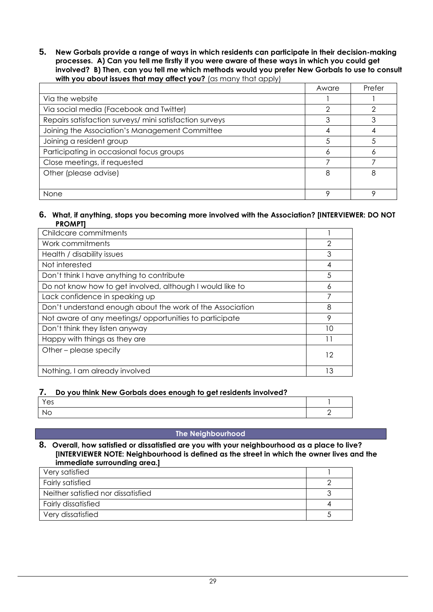**5. New Gorbals provide a range of ways in which residents can participate in their decision-making processes. A) Can you tell me firstly if you were aware of these ways in which you could get involved? B) Then, can you tell me which methods would you prefer New Gorbals to use to consult**  with you about issues that may affect you? (as many that apply)

|                                                         | Aware | Prefer |
|---------------------------------------------------------|-------|--------|
| Via the website                                         |       |        |
| Via social media (Facebook and Twitter)                 |       |        |
| Repairs satisfaction surveys/ mini satisfaction surveys |       |        |
| Joining the Association's Management Committee          |       |        |
| Joining a resident group                                |       |        |
| Participating in occasional focus groups                | o     |        |
| Close meetings, if requested                            |       |        |
| Other (please advise)                                   | 8     | 8      |
|                                                         |       |        |
| None                                                    |       |        |

#### **6. What, if anything, stops you becoming more involved with the Association? [INTERVIEWER: DO NOT PROMPT]**

| Childcare commitments                                     |    |
|-----------------------------------------------------------|----|
| Work commitments                                          | 2  |
| Health / disability issues                                | 3  |
| Not interested                                            | 4  |
| Don't think I have anything to contribute                 | 5  |
| Do not know how to get involved, although I would like to | 6  |
| Lack confidence in speaking up                            | 7  |
| Don't understand enough about the work of the Association | 8  |
| Not aware of any meetings/opportunities to participate    | 9  |
| Don't think they listen anyway                            | 10 |
| Happy with things as they are                             | 11 |
| Other – please specify                                    | 12 |
| Nothing, I am already involved                            | 13 |

#### **7. Do you think New Gorbals does enough to get residents involved?**

| Yes       |  |
|-----------|--|
| <b>No</b> |  |

#### **The Neighbourhood**

#### **8. Overall, how satisfied or dissatisfied are you with your neighbourhood as a place to live? [INTERVIEWER NOTE: Neighbourhood is defined as the street in which the owner lives and the immediate surrounding area.]**

| Very satisfied                     |  |
|------------------------------------|--|
| <b>Fairly satisfied</b>            |  |
| Neither satisfied nor dissatisfied |  |
| <b>Fairly dissatisfied</b>         |  |
| Very dissatisfied                  |  |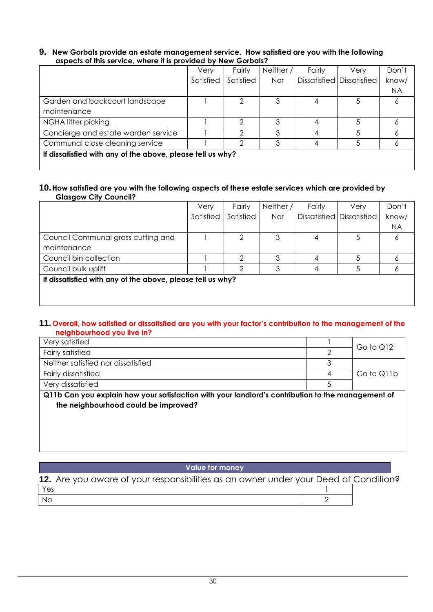#### **9. New Gorbals provide an estate management service. How satisfied are you with the following aspects of this service, where it is provided by New Gorbals?**

|                                                            | Very      | Fairly    | Neither /  | Fairly | Very                      | Don't |
|------------------------------------------------------------|-----------|-----------|------------|--------|---------------------------|-------|
|                                                            | Satisfied | Satisfied | <b>Nor</b> |        | Dissatisfied Dissatisfied | know/ |
|                                                            |           |           |            |        |                           | NA.   |
| Garden and backcourt landscape                             |           | 2         | 3          |        | 5                         |       |
| maintenance                                                |           |           |            |        |                           |       |
| NGHA litter picking                                        |           | 2         | 3          |        |                           |       |
| Concierge and estate warden service                        |           | ↷         | 3          |        | 5                         |       |
| Communal close cleaning service                            |           | 2         | 3          |        | 5                         |       |
| If dissatisfied with any of the above, please tell us why? |           |           |            |        |                           |       |
|                                                            |           |           |            |        |                           |       |

#### **10.How satisfied are you with the following aspects of these estate services which are provided by Glasgow City Council?**

| Satisfied                                                  | Satisfied |            |  |                           |           |
|------------------------------------------------------------|-----------|------------|--|---------------------------|-----------|
|                                                            |           | <b>Nor</b> |  | Dissatisfied Dissatisfied | know/     |
|                                                            |           |            |  |                           | <b>NA</b> |
|                                                            | 2         | 3          |  |                           | 6         |
|                                                            |           |            |  |                           |           |
|                                                            |           |            |  |                           |           |
|                                                            |           |            |  |                           |           |
| If dissatisfied with any of the above, please tell us why? |           |            |  |                           |           |
|                                                            |           |            |  |                           |           |

#### **11.Overall, how satisfied or dissatisfied are you with your factor's contribution to the management of the neighbourhood you live in?**

| Very satisfied                                                                                  |  | Go to Q12  |  |  |
|-------------------------------------------------------------------------------------------------|--|------------|--|--|
| <b>Fairly satisfied</b>                                                                         |  |            |  |  |
| Neither satisfied nor dissatisfied                                                              |  |            |  |  |
| <b>Fairly dissatisfied</b>                                                                      |  | Go to Q11b |  |  |
| Very dissatisfied                                                                               |  |            |  |  |
| .011k Osa wayaalahi kawwayna halkaaliga wilk waya laadlaada agabku liga ta lka magaagaala ta ta |  |            |  |  |

**Q11b Can you explain how your satisfaction with your landlord's contribution to the management of the neighbourhood could be improved?**

#### **Value for money**

| 12. Are you aware of your responsibilities as an owner under your Deed of Condition? |  |
|--------------------------------------------------------------------------------------|--|
| Yes                                                                                  |  |
| No                                                                                   |  |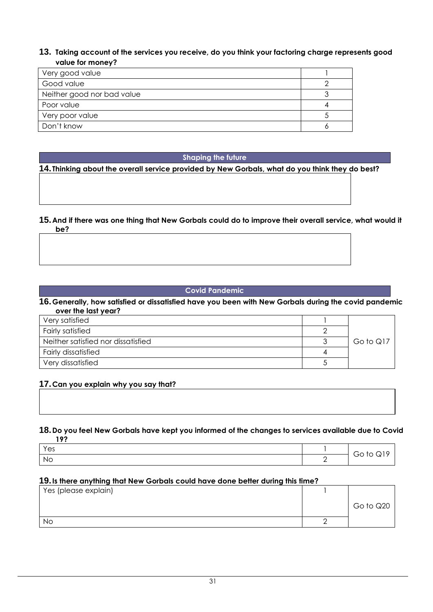#### **13. Taking account of the services you receive, do you think your factoring charge represents good value for money?**

| Very good value            |  |
|----------------------------|--|
| Good value                 |  |
| Neither good nor bad value |  |
| Poor value                 |  |
| Very poor value            |  |
| Don't know                 |  |

#### **Shaping the future**

**14. Thinking about the overall service provided by New Gorbals, what do you think they do best?**

#### **15.And if there was one thing that New Gorbals could do to improve their overall service, what would it be?**

#### **Covid Pandemic**

#### **16.Generally, how satisfied or dissatisfied have you been with New Gorbals during the covid pandemic over the last year?**

| Very satisfied                     |           |
|------------------------------------|-----------|
| Fairly satisfied                   |           |
| Neither satisfied nor dissatisfied | Go to Q17 |
| <b>Fairly dissatisfied</b>         |           |
| Very dissatisfied                  |           |

#### **17.Can you explain why you say that?**

### **18.Do you feel New Gorbals have kept you informed of the changes to services available due to Covid**

| 102 |   |                           |
|-----|---|---------------------------|
| Yes |   | Go to                     |
| No  | - | $\boldsymbol{\mathsf{v}}$ |

#### **19.Is there anything that New Gorbals could have done better during this time?**

| Yes (please explain) |           |
|----------------------|-----------|
|                      | Go to Q20 |
| No                   |           |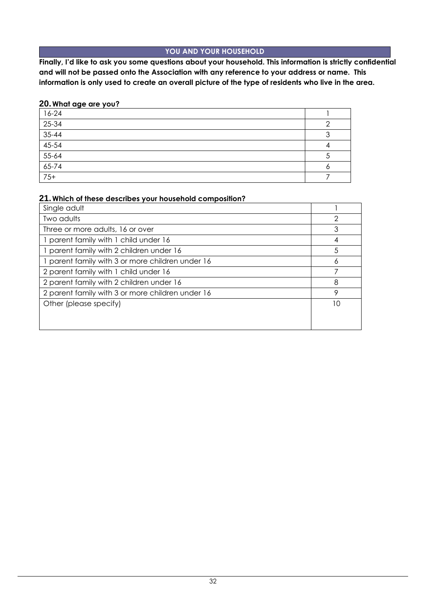#### **YOU AND YOUR HOUSEHOLD**

**Finally, I'd like to ask you some questions about your household. This information is strictly confidential and will not be passed onto the Association with any reference to your address or name. This information is only used to create an overall picture of the type of residents who live in the area.**

#### **20.What age are you?**

| $16-24$                                                         |  |
|-----------------------------------------------------------------|--|
| $25 - 34$                                                       |  |
|                                                                 |  |
|                                                                 |  |
|                                                                 |  |
|                                                                 |  |
| $\frac{35-44}{35-54}$ $\frac{45-54}{55-64}$ $\frac{65-74}{75+}$ |  |

#### **21.Which of these describes your household composition?**

| Single adult                                     |    |
|--------------------------------------------------|----|
| Two adults                                       |    |
| Three or more adults, 16 or over                 | 3  |
| 1 parent family with 1 child under 16            | 4  |
| 1 parent family with 2 children under 16         | 5  |
| 1 parent family with 3 or more children under 16 | Ô  |
| 2 parent family with 1 child under 16            |    |
| 2 parent family with 2 children under 16         | 8  |
| 2 parent family with 3 or more children under 16 | 9  |
| Other (please specify)                           | 10 |
|                                                  |    |
|                                                  |    |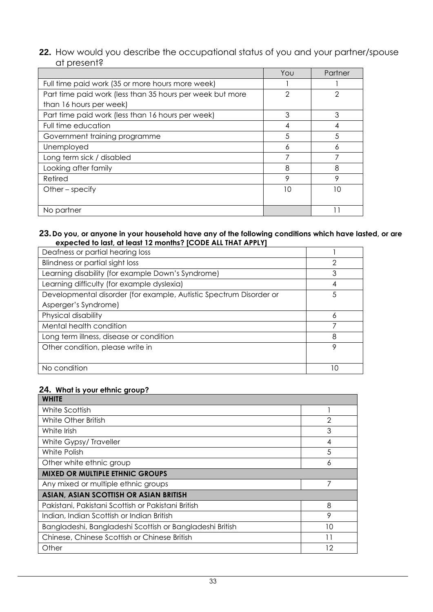#### **22.** How would you describe the occupational status of you and your partner/spouse at present?

|                                                           | You | Partner |
|-----------------------------------------------------------|-----|---------|
| Full time paid work (35 or more hours more week)          |     |         |
| Part time paid work (less than 35 hours per week but more | 2   |         |
| than 16 hours per week)                                   |     |         |
| Part time paid work (less than 16 hours per week)         | 3   | 3       |
| Full time education                                       | 4   |         |
| Government training programme                             | 5   | 5       |
| Unemployed                                                | 6   |         |
| Long term sick / disabled                                 |     |         |
| Looking after family                                      | 8   | 8       |
| Retired                                                   | 9   | 9       |
| Other $-$ specify                                         | 10  | חו      |
|                                                           |     |         |
| No partner                                                |     |         |

#### **23.Do you, or anyone in your household have any of the following conditions which have lasted, or are expected to last, at least 12 months? [CODE ALL THAT APPLY]**

| Deafness or partial hearing loss                                   |    |
|--------------------------------------------------------------------|----|
| Blindness or partial sight loss                                    | 2  |
| Learning disability (for example Down's Syndrome)                  | 3  |
| Learning difficulty (for example dyslexia)                         | 4  |
| Developmental disorder (for example, Autistic Spectrum Disorder or | 5  |
| Asperger's Syndrome)                                               |    |
| Physical disability                                                | 6  |
| Mental health condition                                            |    |
| Long term illness, disease or condition                            | 8  |
| Other condition, please write in                                   | 9  |
|                                                                    |    |
| No condition                                                       | 10 |

#### **24. What is your ethnic group?**

| <b>WHITE</b>                                             |                |
|----------------------------------------------------------|----------------|
| White Scottish                                           |                |
| White Other British                                      | $\overline{2}$ |
| White Irish                                              | 3              |
| White Gypsy/Traveller                                    | 4              |
| White Polish                                             | 5              |
| Other white ethnic group                                 | 6              |
| <b>MIXED OR MULTIPLE ETHNIC GROUPS</b>                   |                |
| Any mixed or multiple ethnic groups                      |                |
| ASIAN, ASIAN SCOTTISH OR ASIAN BRITISH                   |                |
| Pakistani, Pakistani Scottish or Pakistani British       | 8              |
| Indian, Indian Scottish or Indian British                | 9              |
| Bangladeshi, Bangladeshi Scottish or Bangladeshi British | 10             |
| Chinese, Chinese Scottish or Chinese British             | 11             |
| Other                                                    | 12             |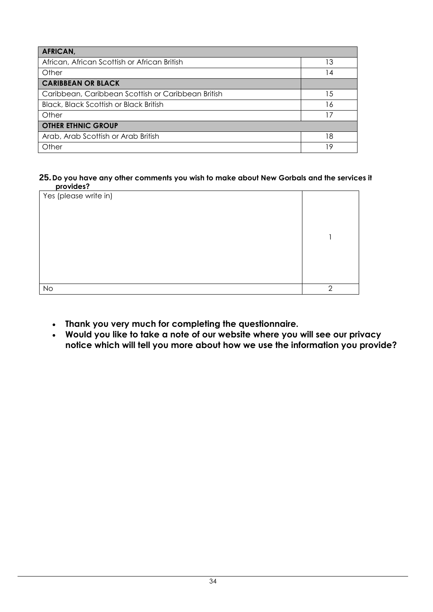| <b>AFRICAN,</b>                                    |     |
|----------------------------------------------------|-----|
| African, African Scottish or African British       | 13  |
| Other                                              | 14  |
| <b>CARIBBEAN OR BLACK</b>                          |     |
| Caribbean, Caribbean Scottish or Caribbean British | 15  |
| <b>Black, Black Scottish or Black British</b>      | 16  |
| Other                                              | 17  |
| <b>OTHER ETHNIC GROUP</b>                          |     |
| Arab, Arab Scottish or Arab British                | 18  |
| Other                                              | ∣ 9 |

#### **25.Do you have any other comments you wish to make about New Gorbals and the services it provides?**

| PIOTINGS.             |               |
|-----------------------|---------------|
| Yes (please write in) |               |
|                       |               |
|                       |               |
|                       |               |
|                       |               |
|                       |               |
|                       |               |
| <b>No</b>             | $\mathcal{D}$ |

- **Thank you very much for completing the questionnaire.**
- **Would you like to take a note of our website where you will see our privacy notice which will tell you more about how we use the information you provide?**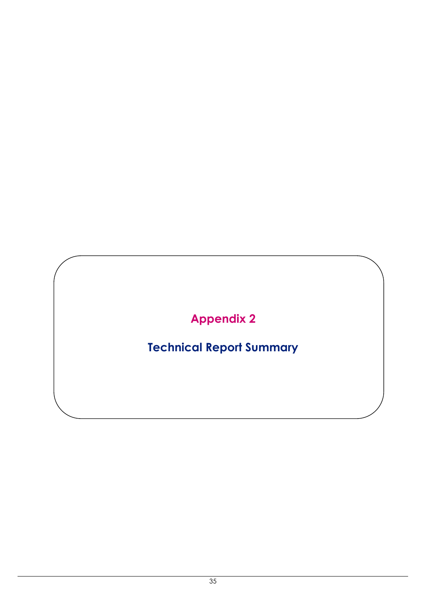## **Appendix 2**

## **Technical Report Summary**